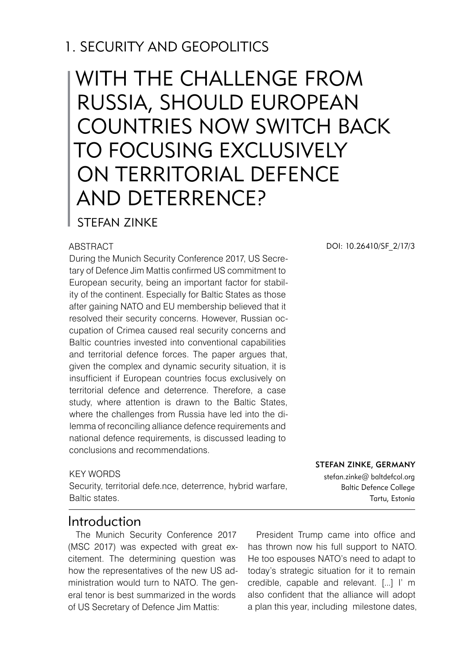## 1. SECURITY AND GEOPOLITICS

# With the challenge from Russia, should European countries now switch back to focusing exclusively on territorial defence and deterrence?

#### STFFAN ZINKF

#### **ABSTRACT**

During the Munich Security Conference 2017, US Secretary of Defence Jim Mattis confirmed US commitment to European security, being an important factor for stability of the continent. Especially for Baltic States as those after gaining NATO and EU membership believed that it resolved their security concerns. However, Russian occupation of Crimea caused real security concerns and Baltic countries invested into conventional capabilities and territorial defence forces. The paper argues that, given the complex and dynamic security situation, it is insufficient if European countries focus exclusively on territorial defence and deterrence. Therefore, a case study, where attention is drawn to the Baltic States, where the challenges from Russia have led into the dilemma of reconciling alliance defence requirements and national defence requirements, is discussed leading to conclusions and recommendations.

#### KEY WORDS

Security, territorial defe.nce, deterrence, hybrid warfare, Baltic states.

#### DOI: 10.26410/SF\_2/17/3

Stefan Zinke, Germany stefan.zinke@ baltdefcol.org

Baltic Defence College Tartu, Estonia

#### Introduction

The Munich Security Conference 2017 (MSC 2017) was expected with great excitement. The determining question was how the representatives of the new US administration would turn to NATO. The general tenor is best summarized in the words of US Secretary of Defence Jim Mattis:

President Trump came into office and has thrown now his full support to NATO. He too espouses NATO's need to adapt to today's strategic situation for it to remain credible, capable and relevant. [...] I' m also confident that the alliance will adopt a plan this year, including milestone dates,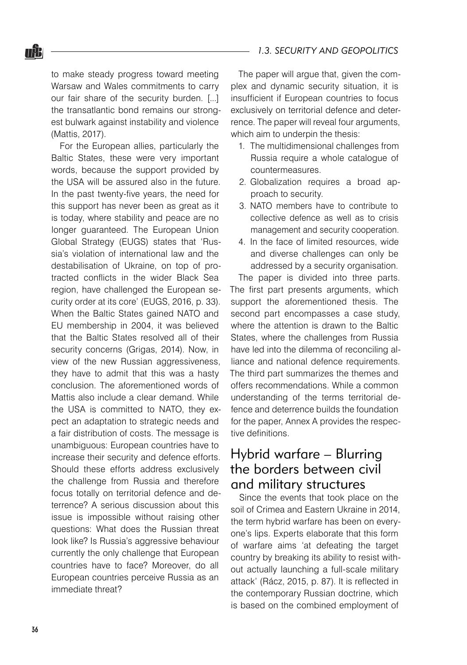to make steady progress toward meeting Warsaw and Wales commitments to carry our fair share of the security burden. [...] the transatlantic bond remains our strongest bulwark against instability and violence (Mattis, 2017).

For the European allies, particularly the Baltic States, these were very important words, because the support provided by the USA will be assured also in the future. In the past twenty-five years, the need for this support has never been as great as it is today, where stability and peace are no longer guaranteed. The European Union Global Strategy (EUGS) states that 'Russia's violation of international law and the destabilisation of Ukraine, on top of protracted conflicts in the wider Black Sea region, have challenged the European security order at its core' (EUGS, 2016, p. 33). When the Baltic States gained NATO and EU membership in 2004, it was believed that the Baltic States resolved all of their security concerns (Grigas, 2014). Now, in view of the new Russian aggressiveness, they have to admit that this was a hasty conclusion. The aforementioned words of Mattis also include a clear demand. While the USA is committed to NATO, they expect an adaptation to strategic needs and a fair distribution of costs. The message is unambiguous: European countries have to increase their security and defence efforts. Should these efforts address exclusively the challenge from Russia and therefore focus totally on territorial defence and deterrence? A serious discussion about this issue is impossible without raising other questions: What does the Russian threat look like? Is Russia's aggressive behaviour currently the only challenge that European countries have to face? Moreover, do all European countries perceive Russia as an immediate threat?

The paper will argue that, given the complex and dynamic security situation, it is insufficient if European countries to focus exclusively on territorial defence and deterrence. The paper will reveal four arguments, which aim to underpin the thesis:

- 1. The multidimensional challenges from Russia require a whole catalogue of countermeasures.
- 2. Globalization requires a broad approach to security.
- 3. NATO members have to contribute to collective defence as well as to crisis management and security cooperation.
- 4. In the face of limited resources, wide and diverse challenges can only be addressed by a security organisation.

The paper is divided into three parts. The first part presents arguments, which support the aforementioned thesis. The second part encompasses a case study, where the attention is drawn to the Baltic States, where the challenges from Russia have led into the dilemma of reconciling alliance and national defence requirements. The third part summarizes the themes and offers recommendations. While a common understanding of the terms territorial defence and deterrence builds the foundation for the paper, Annex A provides the respective definitions.

#### Hybrid warfare – Blurring the borders between civil and military structures

Since the events that took place on the soil of Crimea and Eastern Ukraine in 2014, the term hybrid warfare has been on everyone's lips. Experts elaborate that this form of warfare aims 'at defeating the target country by breaking its ability to resist without actually launching a full-scale military attack' (Rácz, 2015, p. 87). It is reflected in the contemporary Russian doctrine, which is based on the combined employment of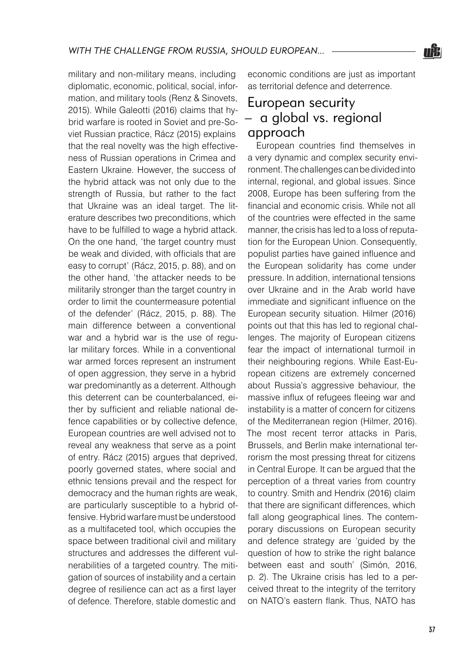

military and non-military means, including diplomatic, economic, political, social, information, and military tools (Renz & Sinovets, 2015). While Galeotti (2016) claims that hybrid warfare is rooted in Soviet and pre-Soviet Russian practice, Rácz (2015) explains that the real novelty was the high effectiveness of Russian operations in Crimea and Eastern Ukraine. However, the success of the hybrid attack was not only due to the strength of Russia, but rather to the fact that Ukraine was an ideal target. The literature describes two preconditions, which have to be fulfilled to wage a hybrid attack. On the one hand, 'the target country must be weak and divided, with officials that are easy to corrupt' (Rácz, 2015, p. 88), and on the other hand, 'the attacker needs to be militarily stronger than the target country in order to limit the countermeasure potential of the defender' (Rácz, 2015, p. 88). The main difference between a conventional war and a hybrid war is the use of regular military forces. While in a conventional war armed forces represent an instrument of open aggression, they serve in a hybrid war predominantly as a deterrent. Although this deterrent can be counterbalanced, either by sufficient and reliable national defence capabilities or by collective defence, European countries are well advised not to reveal any weakness that serve as a point of entry. Rácz (2015) argues that deprived, poorly governed states, where social and ethnic tensions prevail and the respect for democracy and the human rights are weak, are particularly susceptible to a hybrid offensive. Hybrid warfare must be understood as a multifaceted tool, which occupies the space between traditional civil and military structures and addresses the different vulnerabilities of a targeted country. The mitigation of sources of instability and a certain degree of resilience can act as a first layer of defence. Therefore, stable domestic and

economic conditions are just as important as territorial defence and deterrence.

## European security – a global vs. regional approach

European countries find themselves in a very dynamic and complex security environment. The challenges can be divided into internal, regional, and global issues. Since 2008, Europe has been suffering from the financial and economic crisis. While not all of the countries were effected in the same manner, the crisis has led to a loss of reputation for the European Union. Consequently, populist parties have gained influence and the European solidarity has come under pressure. In addition, international tensions over Ukraine and in the Arab world have immediate and significant influence on the European security situation. Hilmer (2016) points out that this has led to regional challenges. The majority of European citizens fear the impact of international turmoil in their neighbouring regions. While East-European citizens are extremely concerned about Russia's aggressive behaviour, the massive influx of refugees fleeing war and instability is a matter of concern for citizens of the Mediterranean region (Hilmer, 2016). The most recent terror attacks in Paris, Brussels, and Berlin make international terrorism the most pressing threat for citizens in Central Europe. It can be argued that the perception of a threat varies from country to country. Smith and Hendrix (2016) claim that there are significant differences, which fall along geographical lines. The contemporary discussions on European security and defence strategy are 'guided by the question of how to strike the right balance between east and south' (Simón, 2016, p. 2). The Ukraine crisis has led to a perceived threat to the integrity of the territory on NATO's eastern flank. Thus, NATO has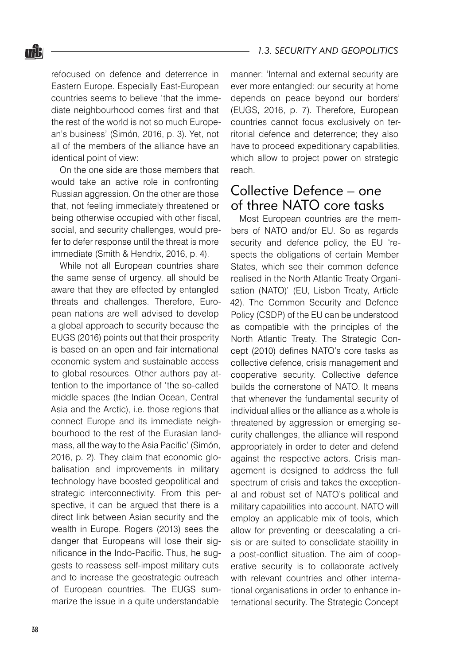refocused on defence and deterrence in Eastern Europe. Especially East-European countries seems to believe 'that the immediate neighbourhood comes first and that the rest of the world is not so much European's business' (Simón, 2016, p. 3). Yet, not all of the members of the alliance have an identical point of view:

nŜ.

On the one side are those members that would take an active role in confronting Russian aggression. On the other are those that, not feeling immediately threatened or being otherwise occupied with other fiscal, social, and security challenges, would prefer to defer response until the threat is more immediate (Smith & Hendrix, 2016, p. 4).

While not all European countries share the same sense of urgency, all should be aware that they are effected by entangled threats and challenges. Therefore, European nations are well advised to develop a global approach to security because the EUGS (2016) points out that their prosperity is based on an open and fair international economic system and sustainable access to global resources. Other authors pay attention to the importance of 'the so-called middle spaces (the Indian Ocean, Central Asia and the Arctic), i.e. those regions that connect Europe and its immediate neighbourhood to the rest of the Eurasian landmass, all the way to the Asia Pacific' (Simón, 2016, p. 2). They claim that economic globalisation and improvements in military technology have boosted geopolitical and strategic interconnectivity. From this perspective, it can be argued that there is a direct link between Asian security and the wealth in Europe. Rogers (2013) sees the danger that Europeans will lose their significance in the Indo-Pacific. Thus, he suggests to reassess self-impost military cuts and to increase the geostrategic outreach of European countries. The EUGS summarize the issue in a quite understandable

manner: 'Internal and external security are ever more entangled: our security at home depends on peace beyond our borders' (EUGS, 2016, p. 7). Therefore, European countries cannot focus exclusively on territorial defence and deterrence; they also have to proceed expeditionary capabilities, which allow to project power on strategic reach.

## Collective Defence – one of three NATO core tasks

Most European countries are the members of NATO and/or EU. So as regards security and defence policy, the EU 'respects the obligations of certain Member States, which see their common defence realised in the North Atlantic Treaty Organisation (NATO)' (EU, Lisbon Treaty, Article 42). The Common Security and Defence Policy (CSDP) of the EU can be understood as compatible with the principles of the North Atlantic Treaty. The Strategic Concept (2010) defines NATO's core tasks as collective defence, crisis management and cooperative security. Collective defence builds the cornerstone of NATO. It means that whenever the fundamental security of individual allies or the alliance as a whole is threatened by aggression or emerging security challenges, the alliance will respond appropriately in order to deter and defend against the respective actors. Crisis management is designed to address the full spectrum of crisis and takes the exceptional and robust set of NATO's political and military capabilities into account. NATO will employ an applicable mix of tools, which allow for preventing or deescalating a crisis or are suited to consolidate stability in a post-conflict situation. The aim of cooperative security is to collaborate actively with relevant countries and other international organisations in order to enhance international security. The Strategic Concept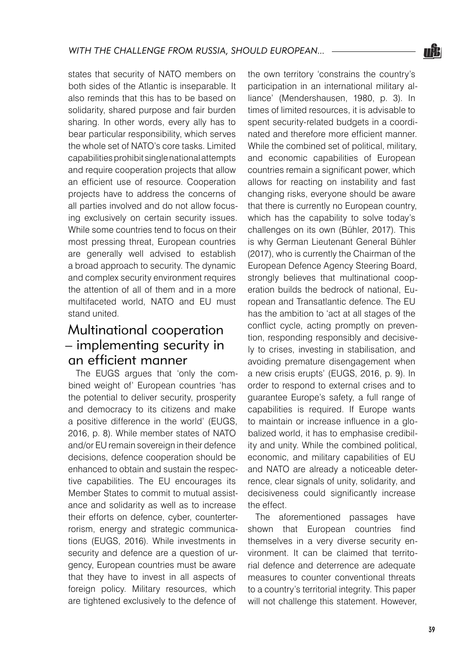states that security of NATO members on both sides of the Atlantic is inseparable. It also reminds that this has to be based on solidarity, shared purpose and fair burden sharing. In other words, every ally has to bear particular responsibility, which serves the whole set of NATO's core tasks. Limited capabilities prohibit single national attempts and require cooperation projects that allow an efficient use of resource. Cooperation projects have to address the concerns of all parties involved and do not allow focusing exclusively on certain security issues. While some countries tend to focus on their most pressing threat, European countries are generally well advised to establish a broad approach to security. The dynamic and complex security environment requires the attention of all of them and in a more multifaceted world, NATO and EU must stand united.

## Multinational cooperation – implementing security in an efficient manner

The EUGS argues that 'only the combined weight of' European countries 'has the potential to deliver security, prosperity and democracy to its citizens and make a positive difference in the world' (EUGS, 2016, p. 8). While member states of NATO and/or EU remain sovereign in their defence decisions, defence cooperation should be enhanced to obtain and sustain the respective capabilities. The EU encourages its Member States to commit to mutual assistance and solidarity as well as to increase their efforts on defence, cyber, counterterrorism, energy and strategic communications (EUGS, 2016). While investments in security and defence are a question of urgency, European countries must be aware that they have to invest in all aspects of foreign policy. Military resources, which are tightened exclusively to the defence of

the own territory 'constrains the country's participation in an international military alliance' (Mendershausen, 1980, p. 3). In times of limited resources, it is advisable to spent security-related budgets in a coordinated and therefore more efficient manner. While the combined set of political, military, and economic capabilities of European countries remain a significant power, which allows for reacting on instability and fast changing risks, everyone should be aware that there is currently no European country, which has the capability to solve today's challenges on its own (Bühler, 2017). This is why German Lieutenant General Bühler (2017), who is currently the Chairman of the European Defence Agency Steering Board, strongly believes that multinational cooperation builds the bedrock of national, European and Transatlantic defence. The EU has the ambition to 'act at all stages of the conflict cycle, acting promptly on prevention, responding responsibly and decisively to crises, investing in stabilisation, and avoiding premature disengagement when a new crisis erupts' (EUGS, 2016, p. 9). In order to respond to external crises and to guarantee Europe's safety, a full range of capabilities is required. If Europe wants to maintain or increase influence in a globalized world, it has to emphasise credibility and unity. While the combined political, economic, and military capabilities of EU and NATO are already a noticeable deterrence, clear signals of unity, solidarity, and decisiveness could significantly increase the effect.

The aforementioned passages have shown that European countries find themselves in a very diverse security environment. It can be claimed that territorial defence and deterrence are adequate measures to counter conventional threats to a country's territorial integrity. This paper will not challenge this statement. However,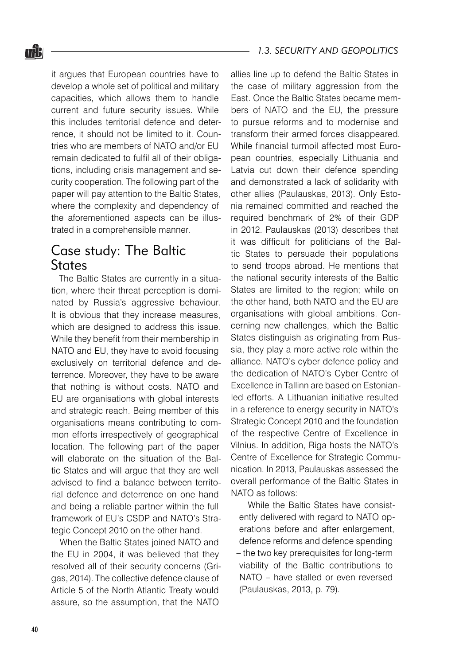it argues that European countries have to develop a whole set of political and military capacities, which allows them to handle current and future security issues. While this includes territorial defence and deterrence, it should not be limited to it. Countries who are members of NATO and/or EU remain dedicated to fulfil all of their obligations, including crisis management and security cooperation. The following part of the paper will pay attention to the Baltic States, where the complexity and dependency of the aforementioned aspects can be illustrated in a comprehensible manner.

## Case study: The Baltic **States**

The Baltic States are currently in a situation, where their threat perception is dominated by Russia's aggressive behaviour. It is obvious that they increase measures. which are designed to address this issue. While they benefit from their membership in NATO and EU, they have to avoid focusing exclusively on territorial defence and deterrence. Moreover, they have to be aware that nothing is without costs. NATO and EU are organisations with global interests and strategic reach. Being member of this organisations means contributing to common efforts irrespectively of geographical location. The following part of the paper will elaborate on the situation of the Baltic States and will argue that they are well advised to find a balance between territorial defence and deterrence on one hand and being a reliable partner within the full framework of EU's CSDP and NATO's Strategic Concept 2010 on the other hand.

When the Baltic States joined NATO and the EU in 2004, it was believed that they resolved all of their security concerns (Grigas, 2014). The collective defence clause of Article 5 of the North Atlantic Treaty would assure, so the assumption, that the NATO

allies line up to defend the Baltic States in the case of military aggression from the East. Once the Baltic States became members of NATO and the EU, the pressure to pursue reforms and to modernise and transform their armed forces disappeared. While financial turmoil affected most European countries, especially Lithuania and Latvia cut down their defence spending and demonstrated a lack of solidarity with other allies (Paulauskas, 2013). Only Estonia remained committed and reached the required benchmark of 2% of their GDP in 2012. Paulauskas (2013) describes that it was difficult for politicians of the Baltic States to persuade their populations to send troops abroad. He mentions that the national security interests of the Baltic States are limited to the region; while on the other hand, both NATO and the EU are organisations with global ambitions. Concerning new challenges, which the Baltic States distinguish as originating from Russia, they play a more active role within the alliance. NATO's cyber defence policy and the dedication of NATO's Cyber Centre of Excellence in Tallinn are based on Estonianled efforts. A Lithuanian initiative resulted in a reference to energy security in NATO's Strategic Concept 2010 and the foundation of the respective Centre of Excellence in Vilnius. In addition, Riga hosts the NATO's Centre of Excellence for Strategic Communication. In 2013, Paulauskas assessed the overall performance of the Baltic States in NATO as follows:

While the Baltic States have consistently delivered with regard to NATO operations before and after enlargement, defence reforms and defence spending – the two key prerequisites for long-term viability of the Baltic contributions to NATO – have stalled or even reversed (Paulauskas, 2013, p. 79).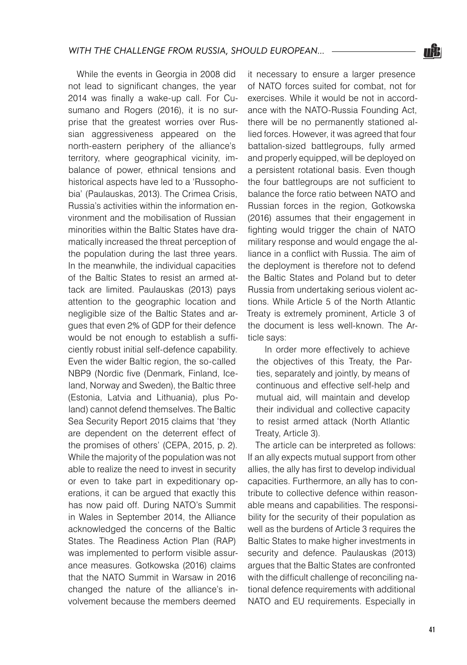While the events in Georgia in 2008 did not lead to significant changes, the year 2014 was finally a wake-up call. For Cusumano and Rogers (2016), it is no surprise that the greatest worries over Russian aggressiveness appeared on the north-eastern periphery of the alliance's territory, where geographical vicinity, imbalance of power, ethnical tensions and historical aspects have led to a 'Russophobia' (Paulauskas, 2013). The Crimea Crisis, Russia's activities within the information environment and the mobilisation of Russian minorities within the Baltic States have dramatically increased the threat perception of the population during the last three years. In the meanwhile, the individual capacities of the Baltic States to resist an armed attack are limited. Paulauskas (2013) pays attention to the geographic location and negligible size of the Baltic States and argues that even 2% of GDP for their defence would be not enough to establish a sufficiently robust initial self-defence capability. Even the wider Baltic region, the so-called NBP9 (Nordic five (Denmark, Finland, Iceland, Norway and Sweden), the Baltic three (Estonia, Latvia and Lithuania), plus Poland) cannot defend themselves. The Baltic Sea Security Report 2015 claims that 'they are dependent on the deterrent effect of the promises of others' (CEPA, 2015, p. 2). While the majority of the population was not able to realize the need to invest in security or even to take part in expeditionary operations, it can be argued that exactly this has now paid off. During NATO's Summit in Wales in September 2014, the Alliance acknowledged the concerns of the Baltic States. The Readiness Action Plan (RAP) was implemented to perform visible assurance measures. Gotkowska (2016) claims that the NATO Summit in Warsaw in 2016 changed the nature of the alliance's involvement because the members deemed

it necessary to ensure a larger presence of NATO forces suited for combat, not for exercises. While it would be not in accordance with the NATO-Russia Founding Act, there will be no permanently stationed allied forces. However, it was agreed that four battalion-sized battlegroups, fully armed and properly equipped, will be deployed on a persistent rotational basis. Even though the four battlegroups are not sufficient to balance the force ratio between NATO and Russian forces in the region, Gotkowska (2016) assumes that their engagement in fighting would trigger the chain of NATO military response and would engage the alliance in a conflict with Russia. The aim of the deployment is therefore not to defend the Baltic States and Poland but to deter Russia from undertaking serious violent actions. While Article 5 of the North Atlantic Treaty is extremely prominent, Article 3 of the document is less well-known. The Article says:

In order more effectively to achieve the objectives of this Treaty, the Parties, separately and jointly, by means of continuous and effective self-help and mutual aid, will maintain and develop their individual and collective capacity to resist armed attack (North Atlantic Treaty, Article 3).

The article can be interpreted as follows: If an ally expects mutual support from other allies, the ally has first to develop individual capacities. Furthermore, an ally has to contribute to collective defence within reasonable means and capabilities. The responsibility for the security of their population as well as the burdens of Article 3 requires the Baltic States to make higher investments in security and defence. Paulauskas (2013) argues that the Baltic States are confronted with the difficult challenge of reconciling national defence requirements with additional NATO and EU requirements. Especially in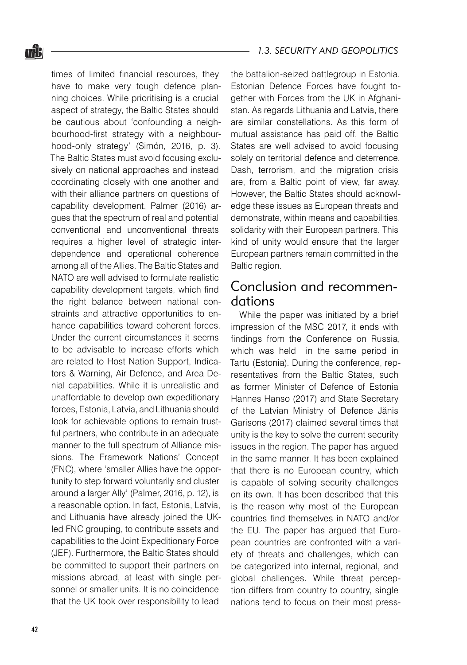times of limited financial resources, they have to make very tough defence planning choices. While prioritising is a crucial aspect of strategy, the Baltic States should be cautious about 'confounding a neighbourhood-first strategy with a neighbourhood-only strategy' (Simón, 2016, p. 3). The Baltic States must avoid focusing exclusively on national approaches and instead coordinating closely with one another and with their alliance partners on questions of capability development. Palmer (2016) argues that the spectrum of real and potential conventional and unconventional threats requires a higher level of strategic interdependence and operational coherence among all of the Allies. The Baltic States and NATO are well advised to formulate realistic capability development targets, which find the right balance between national constraints and attractive opportunities to enhance capabilities toward coherent forces. Under the current circumstances it seems to be advisable to increase efforts which are related to Host Nation Support, Indicators & Warning, Air Defence, and Area Denial capabilities. While it is unrealistic and unaffordable to develop own expeditionary forces, Estonia, Latvia, and Lithuania should look for achievable options to remain trustful partners, who contribute in an adequate manner to the full spectrum of Alliance missions. The Framework Nations' Concept (FNC), where 'smaller Allies have the opportunity to step forward voluntarily and cluster around a larger Ally' (Palmer, 2016, p. 12), is a reasonable option. In fact, Estonia, Latvia, and Lithuania have already joined the UKled FNC grouping, to contribute assets and capabilities to the Joint Expeditionary Force (JEF). Furthermore, the Baltic States should be committed to support their partners on missions abroad, at least with single personnel or smaller units. It is no coincidence that the UK took over responsibility to lead

the battalion-seized battlegroup in Estonia. Estonian Defence Forces have fought together with Forces from the UK in Afghanistan. As regards Lithuania and Latvia, there are similar constellations. As this form of mutual assistance has paid off, the Baltic States are well advised to avoid focusing solely on territorial defence and deterrence. Dash, terrorism, and the migration crisis are, from a Baltic point of view, far away. However, the Baltic States should acknowledge these issues as European threats and demonstrate, within means and capabilities, solidarity with their European partners. This kind of unity would ensure that the larger European partners remain committed in the Baltic region.

## Conclusion and recommendations

While the paper was initiated by a brief impression of the MSC 2017, it ends with findings from the Conference on Russia, which was held in the same period in Tartu (Estonia). During the conference, representatives from the Baltic States, such as former Minister of Defence of Estonia Hannes Hanso (2017) and State Secretary of the Latvian Ministry of Defence Jănis Garisons (2017) claimed several times that unity is the key to solve the current security issues in the region. The paper has argued in the same manner. It has been explained that there is no European country, which is capable of solving security challenges on its own. It has been described that this is the reason why most of the European countries find themselves in NATO and/or the EU. The paper has argued that European countries are confronted with a variety of threats and challenges, which can be categorized into internal, regional, and global challenges. While threat perception differs from country to country, single nations tend to focus on their most press-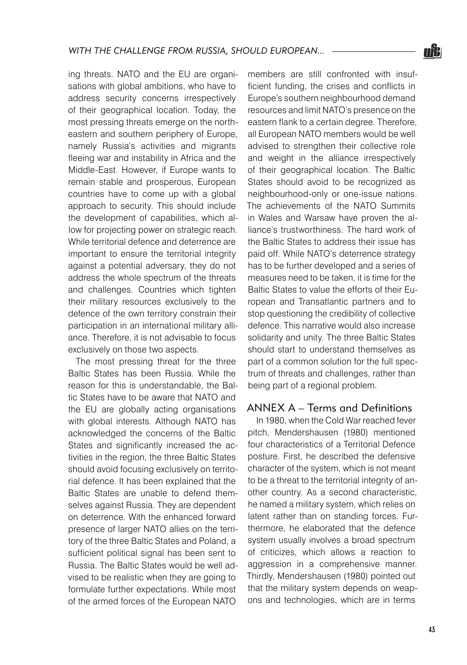ing threats. NATO and the EU are organisations with global ambitions, who have to address security concerns irrespectively of their geographical location. Today, the most pressing threats emerge on the northeastern and southern periphery of Europe, namely Russia's activities and migrants fleeing war and instability in Africa and the Middle-East. However, if Europe wants to remain stable and prosperous, European countries have to come up with a global approach to security. This should include the development of capabilities, which allow for projecting power on strategic reach. While territorial defence and deterrence are important to ensure the territorial integrity against a potential adversary, they do not address the whole spectrum of the threats and challenges. Countries which tighten their military resources exclusively to the defence of the own territory constrain their participation in an international military alliance. Therefore, it is not advisable to focus exclusively on those two aspects.

The most pressing threat for the three Baltic States has been Russia. While the reason for this is understandable, the Baltic States have to be aware that NATO and the EU are globally acting organisations with global interests. Although NATO has acknowledged the concerns of the Baltic States and significantly increased the activities in the region, the three Baltic States should avoid focusing exclusively on territorial defence. It has been explained that the Baltic States are unable to defend themselves against Russia. They are dependent on deterrence. With the enhanced forward presence of larger NATO allies on the territory of the three Baltic States and Poland, a sufficient political signal has been sent to Russia. The Baltic States would be well advised to be realistic when they are going to formulate further expectations. While most of the armed forces of the European NATO

members are still confronted with insufficient funding, the crises and conflicts in Europe's southern neighbourhood demand resources and limit NATO's presence on the eastern flank to a certain degree. Therefore, all European NATO members would be well advised to strengthen their collective role and weight in the alliance irrespectively of their geographical location. The Baltic States should avoid to be recognized as neighbourhood-only or one-issue nations. The achievements of the NATO Summits in Wales and Warsaw have proven the alliance's trustworthiness. The hard work of the Baltic States to address their issue has paid off. While NATO's deterrence strategy has to be further developed and a series of measures need to be taken, it is time for the Baltic States to value the efforts of their European and Transatlantic partners and to stop questioning the credibility of collective defence. This narrative would also increase solidarity and unity. The three Baltic States should start to understand themselves as part of a common solution for the full spectrum of threats and challenges, rather than being part of a regional problem.

#### ANNEX A – Terms and Definitions

In 1980, when the Cold War reached fever pitch, Mendershausen (1980) mentioned four characteristics of a Territorial Defence posture. First, he described the defensive character of the system, which is not meant to be a threat to the territorial integrity of another country. As a second characteristic, he named a military system, which relies on latent rather than on standing forces. Furthermore, he elaborated that the defence system usually involves a broad spectrum of criticizes, which allows a reaction to aggression in a comprehensive manner. Thirdly, Mendershausen (1980) pointed out that the military system depends on weapons and technologies, which are in terms

<u>nĝi</u>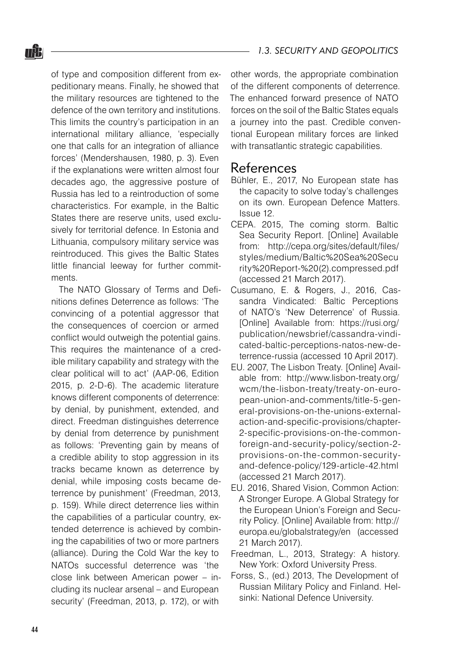of type and composition different from expeditionary means. Finally, he showed that the military resources are tightened to the defence of the own territory and institutions. This limits the country's participation in an international military alliance, 'especially one that calls for an integration of alliance forces' (Mendershausen, 1980, p. 3). Even if the explanations were written almost four decades ago, the aggressive posture of Russia has led to a reintroduction of some characteristics. For example, in the Baltic States there are reserve units, used exclusively for territorial defence. In Estonia and Lithuania, compulsory military service was reintroduced. This gives the Baltic States little financial leeway for further commitments.

The NATO Glossary of Terms and Definitions defines Deterrence as follows: 'The convincing of a potential aggressor that the consequences of coercion or armed conflict would outweigh the potential gains. This requires the maintenance of a credible military capability and strategy with the clear political will to act' (AAP-06, Edition 2015, p. 2-D-6). The academic literature knows different components of deterrence: by denial, by punishment, extended, and direct. Freedman distinguishes deterrence by denial from deterrence by punishment as follows: 'Preventing gain by means of a credible ability to stop aggression in its tracks became known as deterrence by denial, while imposing costs became deterrence by punishment' (Freedman, 2013, p. 159). While direct deterrence lies within the capabilities of a particular country, extended deterrence is achieved by combining the capabilities of two or more partners (alliance). During the Cold War the key to NATOs successful deterrence was 'the close link between American power – including its nuclear arsenal – and European security' (Freedman, 2013, p. 172), or with

other words, the appropriate combination of the different components of deterrence. The enhanced forward presence of NATO forces on the soil of the Baltic States equals a journey into the past. Credible conventional European military forces are linked with transatlantic strategic capabilities.

#### References

- Bühler, E., 2017, No European state has the capacity to solve today's challenges on its own. European Defence Matters. Issue 12.
- CEPA. 2015, The coming storm. Baltic Sea Security Report. [Online] Available from: http://cepa.org/sites/default/files/ styles/medium/Baltic%20Sea%20Secu rity%20Report-%20(2).compressed.pdf (accessed 21 March 2017).
- Cusumano, E. & Rogers, J., 2016, Cassandra Vindicated: Baltic Perceptions of NATO's 'New Deterrence' of Russia. [Online] Available from: https://rusi.org/ publication/newsbrief/cassandra-vindicated-baltic-perceptions-natos-new-deterrence-russia (accessed 10 April 2017).
- EU. 2007, The Lisbon Treaty. [Online] Available from: http://www.lisbon-treaty.org/ wcm/the-lisbon-treaty/treaty-on-european-union-and-comments/title-5-general-provisions-on-the-unions-externalaction-and-specific-provisions/chapter-2-specific-provisions-on-the-commonforeign-and-security-policy/section-2 provisions-on-the-common-securityand-defence-policy/129-article-42.html (accessed 21 March 2017).
- EU. 2016, Shared Vision, Common Action: A Stronger Europe. A Global Strategy for the European Union's Foreign and Security Policy. [Online] Available from: http:// europa.eu/globalstrategy/en (accessed 21 March 2017).
- Freedman, L., 2013, Strategy: A history. New York: Oxford University Press.
- Forss, S., (ed.) 2013, The Development of Russian Military Policy and Finland. Helsinki: National Defence University.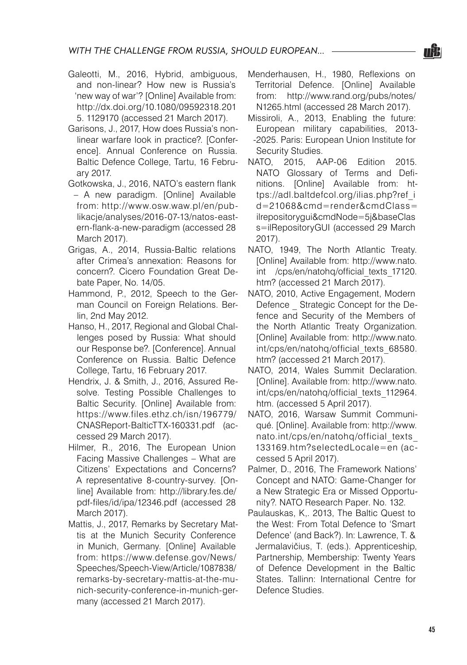- Galeotti, M., 2016, Hybrid, ambiguous, and non-linear? How new is Russia's 'new way of war'? [Online] Available from: http://dx.doi.org/10.1080/09592318.201 5. 1129170 (accessed 21 March 2017).
- Garisons, J., 2017, How does Russia's nonlinear warfare look in practice?. [Conference]. Annual Conference on Russia. Baltic Defence College, Tartu, 16 February 2017.
- Gotkowska, J., 2016, NATO's eastern flank – A new paradigm. [Online] Available from: http://www.osw.waw.pl/en/publikacje/analyses/2016-07-13/natos-eastern-flank-a-new-paradigm (accessed 28 March 2017).
- Grigas, A., 2014, Russia-Baltic relations after Crimea's annexation: Reasons for concern?. Cicero Foundation Great Debate Paper, No. 14/05.
- Hammond, P., 2012, Speech to the German Council on Foreign Relations. Berlin, 2nd May 2012.
- Hanso, H., 2017, Regional and Global Challenges posed by Russia: What should our Response be?. [Conference]. Annual Conference on Russia. Baltic Defence College, Tartu, 16 February 2017.
- Hendrix, J. & Smith, J., 2016, Assured Resolve. Testing Possible Challenges to Baltic Security. [Online] Available from: https://www.files.ethz.ch/isn/196779/ CNASReport-BalticTTX-160331.pdf (accessed 29 March 2017).
- Hilmer, R., 2016, The European Union Facing Massive Challenges – What are Citizens' Expectations and Concerns? A representative 8-country-survey. [Online] Available from: http://library.fes.de/ pdf-files/id/ipa/12346.pdf (accessed 28 March 2017).
- Mattis, J., 2017, Remarks by Secretary Mattis at the Munich Security Conference in Munich, Germany. [Online] Available from: https://www.defense.gov/News/ Speeches/Speech-View/Article/1087838/ remarks-by-secretary-mattis-at-the-munich-security-conference-in-munich-germany (accessed 21 March 2017).
- Menderhausen, H., 1980, Reflexions on Territorial Defence. [Online] Available from: http://www.rand.org/pubs/notes/ N1265.html (accessed 28 March 2017).
- Missiroli, A., 2013, Enabling the future: European military capabilities, 2013- -2025. Paris: European Union Institute for Security Studies.
- NATO, 2015, AAP-06 Edition 2015. NATO Glossary of Terms and Definitions. [Online] Available from: https://adl.baltdefcol.org/ilias.php?ref\_i d=21068&cmd=render&cmdClass= ilrepositorygui&cmdNode=5j&baseClas s=ilRepositoryGUI (accessed 29 March 2017).
- NATO, 1949, The North Atlantic Treaty. [Online] Available from: http://www.nato. int /cps/en/natohq/official\_texts\_17120. htm? (accessed 21 March 2017).
- NATO, 2010, Active Engagement, Modern Defence Strategic Concept for the Defence and Security of the Members of the North Atlantic Treaty Organization. [Online] Available from: http://www.nato. int/cps/en/natohg/official\_texts\_68580. htm? (accessed 21 March 2017).
- NATO, 2014, Wales Summit Declaration. [Online]. Available from: http://www.nato. int/cps/en/natohq/official texts 112964. htm. (accessed 5 April 2017).
- NATO, 2016, Warsaw Summit Communiqué. [Online]. Available from: http://www. nato.int/cps/en/natohq/official\_texts\_ 133169.htm?selectedLocale=en (accessed 5 April 2017).
- Palmer, D., 2016, The Framework Nations' Concept and NATO: Game-Changer for a New Strategic Era or Missed Opportunity?. NATO Research Paper. No. 132.
- Paulauskas, K,. 2013, The Baltic Quest to the West: From Total Defence to 'Smart Defence' (and Back?). In: Lawrence, T. & Jermalavičius, T. (eds.). Apprenticeship, Partnership, Membership: Twenty Years of Defence Development in the Baltic States. Tallinn: International Centre for Defence Studies.